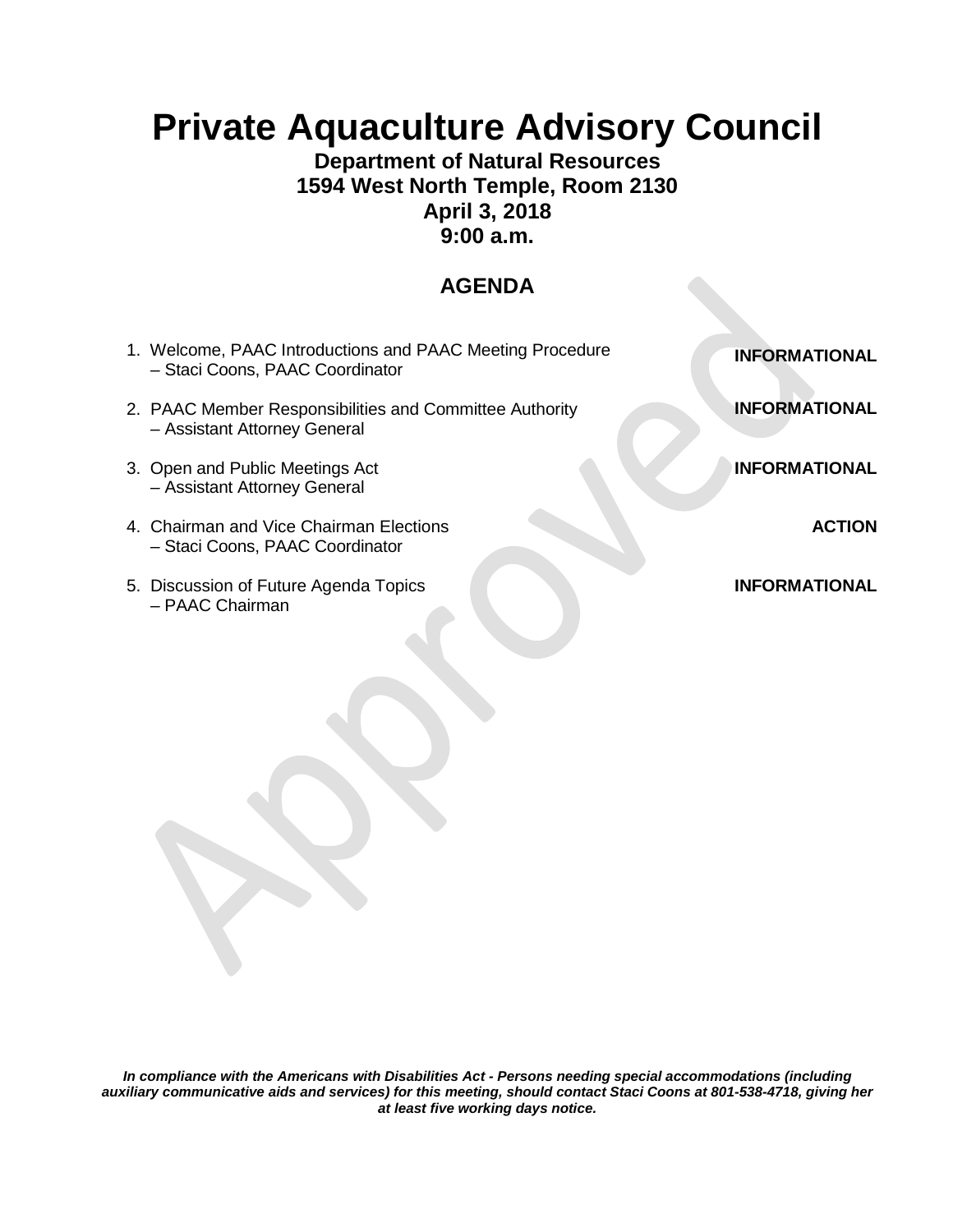# **Private Aquaculture Advisory Council**

### **Department of Natural Resources 1594 West North Temple, Room 2130 April 3, 2018 9:00 a.m.**

## **AGENDA**

| 1. Welcome, PAAC Introductions and PAAC Meeting Procedure<br>- Staci Coons, PAAC Coordinator | <b>INFORMATIONAL</b> |
|----------------------------------------------------------------------------------------------|----------------------|
| 2. PAAC Member Responsibilities and Committee Authority<br>- Assistant Attorney General      | <b>INFORMATIONAL</b> |
| 3. Open and Public Meetings Act<br>- Assistant Attorney General                              | <b>INFORMATIONAL</b> |
| 4. Chairman and Vice Chairman Elections<br>- Staci Coons, PAAC Coordinator                   | <b>ACTION</b>        |
| 5. Discussion of Future Agenda Topics<br>- PAAC Chairman                                     | <b>INFORMATIONAL</b> |

*In compliance with the Americans with Disabilities Act - Persons needing special accommodations (including auxiliary communicative aids and services) for this meeting, should contact Staci Coons at 801-538-4718, giving her at least five working days notice.*